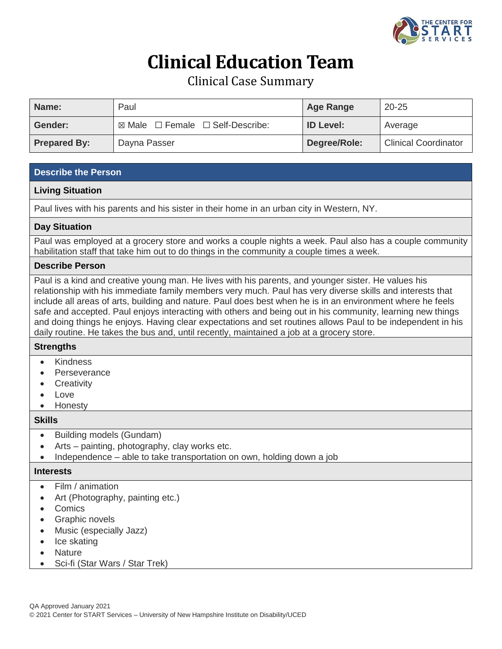

# **Clinical Education Team**

Clinical Case Summary

| Name:               | Paul                                                 | <b>Age Range</b> | $20 - 25$                   |
|---------------------|------------------------------------------------------|------------------|-----------------------------|
| Gender:             | $\boxtimes$ Male $\Box$ Female $\Box$ Self-Describe: | <b>ID Level:</b> | Average                     |
| <b>Prepared By:</b> | Dayna Passer                                         | Degree/Role:     | <b>Clinical Coordinator</b> |

## **Describe the Person**

## **Living Situation**

Paul lives with his parents and his sister in their home in an urban city in Western, NY.

#### **Day Situation**

Paul was employed at a grocery store and works a couple nights a week. Paul also has a couple community habilitation staff that take him out to do things in the community a couple times a week.

#### **Describe Person**

Paul is a kind and creative young man. He lives with his parents, and younger sister. He values his relationship with his immediate family members very much. Paul has very diverse skills and interests that include all areas of arts, building and nature. Paul does best when he is in an environment where he feels safe and accepted. Paul enjoys interacting with others and being out in his community, learning new things and doing things he enjoys. Having clear expectations and set routines allows Paul to be independent in his daily routine. He takes the bus and, until recently, maintained a job at a grocery store.

## **Strengths**

- Kindness
- **Perseverance**
- **Creativity**
- Love
- Honesty

#### **Skills**

- Building models (Gundam)
- Arts painting, photography, clay works etc.
- Independence able to take transportation on own, holding down a job

#### **Interests**

- Film / animation
- Art (Photography, painting etc.)
- Comics
- Graphic novels
- Music (especially Jazz)
- Ice skating
- Nature
- Sci-fi (Star Wars / Star Trek)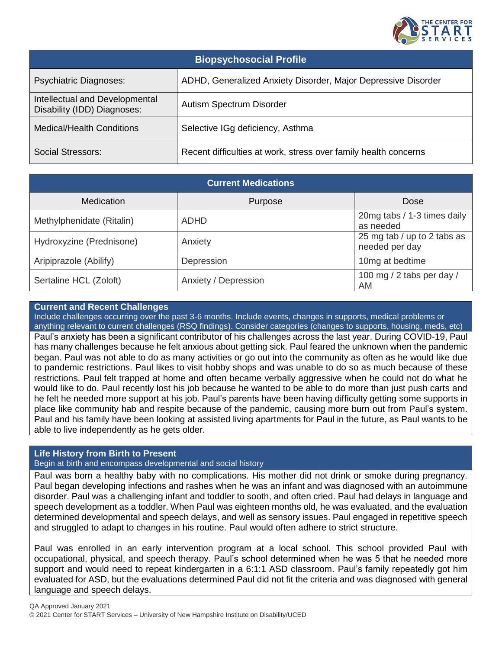

| <b>Biopsychosocial Profile</b>                                |                                                                 |  |  |  |
|---------------------------------------------------------------|-----------------------------------------------------------------|--|--|--|
| <b>Psychiatric Diagnoses:</b>                                 | ADHD, Generalized Anxiety Disorder, Major Depressive Disorder   |  |  |  |
| Intellectual and Developmental<br>Disability (IDD) Diagnoses: | Autism Spectrum Disorder                                        |  |  |  |
| <b>Medical/Health Conditions</b>                              | Selective IGg deficiency, Asthma                                |  |  |  |
| <b>Social Stressors:</b>                                      | Recent difficulties at work, stress over family health concerns |  |  |  |

| <b>Current Medications</b> |                      |                                               |  |  |  |
|----------------------------|----------------------|-----------------------------------------------|--|--|--|
| <b>Medication</b>          | Purpose              | Dose                                          |  |  |  |
| Methylphenidate (Ritalin)  | <b>ADHD</b>          | 20mg tabs / 1-3 times daily<br>as needed      |  |  |  |
| Hydroxyzine (Prednisone)   | Anxiety              | 25 mg tab / up to 2 tabs as<br>needed per day |  |  |  |
| Aripiprazole (Abilify)     | Depression           | 10mg at bedtime                               |  |  |  |
| Sertaline HCL (Zoloft)     | Anxiety / Depression | 100 mg / 2 tabs per day /<br>AM               |  |  |  |

#### **Current and Recent Challenges**

Include challenges occurring over the past 3-6 months. Include events, changes in supports, medical problems or anything relevant to current challenges (RSQ findings). Consider categories (changes to supports, housing, meds, etc) Paul's anxiety has been a significant contributor of his challenges across the last year. During COVID-19, Paul has many challenges because he felt anxious about getting sick. Paul feared the unknown when the pandemic began. Paul was not able to do as many activities or go out into the community as often as he would like due to pandemic restrictions. Paul likes to visit hobby shops and was unable to do so as much because of these restrictions. Paul felt trapped at home and often became verbally aggressive when he could not do what he would like to do. Paul recently lost his job because he wanted to be able to do more than just push carts and he felt he needed more support at his job. Paul's parents have been having difficulty getting some supports in place like community hab and respite because of the pandemic, causing more burn out from Paul's system. Paul and his family have been looking at assisted living apartments for Paul in the future, as Paul wants to be able to live independently as he gets older.

## **Life History from Birth to Present**

Begin at birth and encompass developmental and social history

Paul was born a healthy baby with no complications. His mother did not drink or smoke during pregnancy. Paul began developing infections and rashes when he was an infant and was diagnosed with an autoimmune disorder. Paul was a challenging infant and toddler to sooth, and often cried. Paul had delays in language and speech development as a toddler. When Paul was eighteen months old, he was evaluated, and the evaluation determined developmental and speech delays, and well as sensory issues. Paul engaged in repetitive speech and struggled to adapt to changes in his routine. Paul would often adhere to strict structure.

Paul was enrolled in an early intervention program at a local school. This school provided Paul with occupational, physical, and speech therapy. Paul's school determined when he was 5 that he needed more support and would need to repeat kindergarten in a 6:1:1 ASD classroom. Paul's family repeatedly got him evaluated for ASD, but the evaluations determined Paul did not fit the criteria and was diagnosed with general language and speech delays.